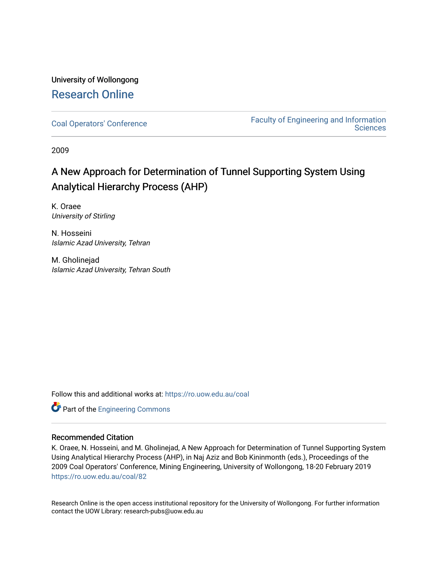# University of Wollongong [Research Online](https://ro.uow.edu.au/)

[Coal Operators' Conference](https://ro.uow.edu.au/coal) [Faculty of Engineering and Information](https://ro.uow.edu.au/eis)  **Sciences** 

2009

# A New Approach for Determination of Tunnel Supporting System Using Analytical Hierarchy Process (AHP)

K. Oraee University of Stirling

N. Hosseini Islamic Azad University, Tehran

M. Gholinejad Islamic Azad University, Tehran South

Follow this and additional works at: [https://ro.uow.edu.au/coal](https://ro.uow.edu.au/coal?utm_source=ro.uow.edu.au%2Fcoal%2F82&utm_medium=PDF&utm_campaign=PDFCoverPages) 



# Recommended Citation

K. Oraee, N. Hosseini, and M. Gholinejad, A New Approach for Determination of Tunnel Supporting System Using Analytical Hierarchy Process (AHP), in Naj Aziz and Bob Kininmonth (eds.), Proceedings of the 2009 Coal Operators' Conference, Mining Engineering, University of Wollongong, 18-20 February 2019 [https://ro.uow.edu.au/coal/82](https://ro.uow.edu.au/coal/82?utm_source=ro.uow.edu.au%2Fcoal%2F82&utm_medium=PDF&utm_campaign=PDFCoverPages) 

Research Online is the open access institutional repository for the University of Wollongong. For further information contact the UOW Library: research-pubs@uow.edu.au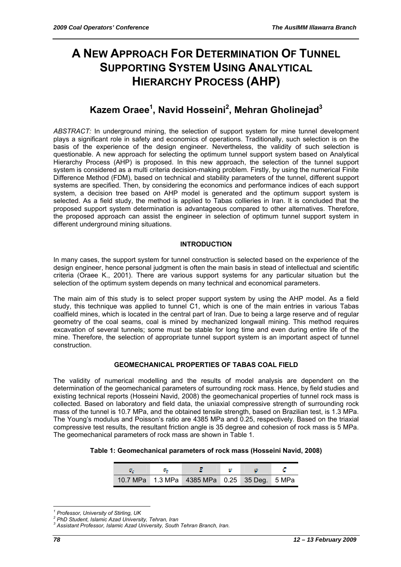# **A NEW APPROACH FOR DETERMINATION OF TUNNEL SUPPORTING SYSTEM USING ANALYTICAL HIERARCHY PROCESS (AHP)**

# **Kazem Oraee1 , Navid Hosseini<sup>2</sup> , Mehran Gholinejad3**

*ABSTRACT:* In underground mining, the selection of support system for mine tunnel development plays a significant role in safety and economics of operations. Traditionally, such selection is on the basis of the experience of the design engineer. Nevertheless, the validity of such selection is questionable. A new approach for selecting the optimum tunnel support system based on Analytical Hierarchy Process (AHP) is proposed. In this new approach, the selection of the tunnel support system is considered as a multi criteria decision-making problem. Firstly, by using the numerical Finite Difference Method (FDM), based on technical and stability parameters of the tunnel, different support systems are specified. Then, by considering the economics and performance indices of each support system, a decision tree based on AHP model is generated and the optimum support system is selected. As a field study, the method is applied to Tabas collieries in Iran. It is concluded that the proposed support system determination is advantageous compared to other alternatives. Therefore, the proposed approach can assist the engineer in selection of optimum tunnel support system in different underground mining situations.

# **INTRODUCTION**

In many cases, the support system for tunnel construction is selected based on the experience of the design engineer, hence personal judgment is often the main basis in stead of intellectual and scientific criteria (Oraee K., 2001). There are various support systems for any particular situation but the selection of the optimum system depends on many technical and economical parameters.

The main aim of this study is to select proper support system by using the AHP model. As a field study, this technique was applied to tunnel C1, which is one of the main entries in various Tabas coalfield mines, which is located in the central part of Iran. Due to being a large reserve and of regular geometry of the coal seams, coal is mined by mechanized longwall mining. This method requires excavation of several tunnels; some must be stable for long time and even during entire life of the mine. Therefore, the selection of appropriate tunnel support system is an important aspect of tunnel construction.

#### **GEOMECHANICAL PROPERTIES OF TABAS COAL FIELD**

The validity of numerical modelling and the results of model analysis are dependent on the determination of the geomechanical parameters of surrounding rock mass. Hence, by field studies and existing technical reports (Hosseini Navid, 2008) the geomechanical properties of tunnel rock mass is collected. Based on laboratory and field data, the uniaxial compressive strength of surrounding rock mass of the tunnel is 10.7 MPa, and the obtained tensile strength, based on Brazilian test, is 1.3 MPa. The Young's modulus and Poisson's ratio are 4385 MPa and 0.25, respectively. Based on the triaxial compressive test results, the resultant friction angle is 35 degree and cohesion of rock mass is 5 MPa. The geomechanical parameters of rock mass are shown in Table 1.

| Table 1: Geomechanical parameters of rock mass (Hosseini Navid, 2008) |  |  |  |
|-----------------------------------------------------------------------|--|--|--|
|-----------------------------------------------------------------------|--|--|--|

| o. | o. |                                              | m |  |
|----|----|----------------------------------------------|---|--|
|    |    | 10.7 MPa 1.3 MPa 4385 MPa 0.25 35 Deg. 5 MPa |   |  |

 $\overline{a}$ *1 Professor, University of Stirling, UK* 

*<sup>2</sup> PhD Student, Islamic Azad University, Tehran, Iran* 

*<sup>3</sup> Assistant Professor, Islamic Azad University, South Tehran Branch, Iran.*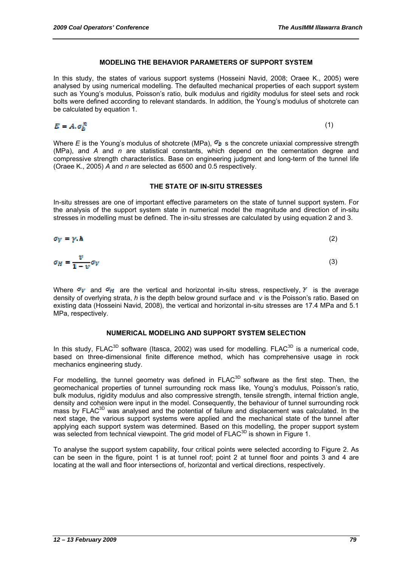#### **MODELING THE BEHAVIOR PARAMETERS OF SUPPORT SYSTEM**

In this study, the states of various support systems (Hosseini Navid, 2008; Oraee K., 2005) were analysed by using numerical modelling. The defaulted mechanical properties of each support system such as Young's modulus, Poisson's ratio, bulk modulus and rigidity modulus for steel sets and rock bolts were defined according to relevant standards. In addition, the Young's modulus of shotcrete can be calculated by equation 1.

$$
E = A.\sigma_h^B
$$

(1)

Where *E* is the Young's modulus of shotcrete (MPa),  $\sigma_b$  s the concrete uniaxial compressive strength (MPa), and *A* and *n* are statistical constants, which depend on the cementation degree and compressive strength characteristics. Base on engineering judgment and long-term of the tunnel life (Oraee K., 2005) *A* and *n* are selected as 6500 and 0.5 respectively.

#### **THE STATE OF IN-SITU STRESSES**

In-situ stresses are one of important effective parameters on the state of tunnel support system. For the analysis of the support system state in numerical model the magnitude and direction of in-situ stresses in modelling must be defined. The in-situ stresses are calculated by using equation 2 and 3.

$$
\sigma_V = \gamma \cdot \hbar \tag{2}
$$

$$
\sigma_H = \frac{v}{1 - v} \sigma_V \tag{3}
$$

Where  $\sigma_V$  and  $\sigma_H$  are the vertical and horizontal in-situ stress, respectively,  $V$  is the average density of overlying strata, *h* is the depth below ground surface and *v* is the Poisson's ratio. Based on existing data (Hosseini Navid, 2008), the vertical and horizontal in-situ stresses are 17.4 MPa and 5.1 MPa, respectively.

#### **NUMERICAL MODELING AND SUPPORT SYSTEM SELECTION**

In this study,  $F LAC^{3D}$  software (Itasca, 2002) was used for modelling.  $F LAC^{3D}$  is a numerical code, based on three-dimensional finite difference method, which has comprehensive usage in rock mechanics engineering study.

For modelling, the tunnel geometry was defined in FLAC<sup>3D</sup> software as the first step. Then, the geomechanical properties of tunnel surrounding rock mass like, Young's modulus, Poisson's ratio, bulk modulus, rigidity modulus and also compressive strength, tensile strength, internal friction angle, density and cohesion were input in the model. Consequently, the behaviour of tunnel surrounding rock mass by FLAC<sup>3D</sup> was analysed and the potential of failure and displacement was calculated. In the next stage, the various support systems were applied and the mechanical state of the tunnel after applying each support system was determined. Based on this modelling, the proper support system was selected from technical viewpoint. The grid model of  $F LAC^{3D}$  is shown in Figure 1.

To analyse the support system capability, four critical points were selected according to Figure 2. As can be seen in the figure, point 1 is at tunnel roof; point 2 at tunnel floor and points 3 and 4 are locating at the wall and floor intersections of, horizontal and vertical directions, respectively.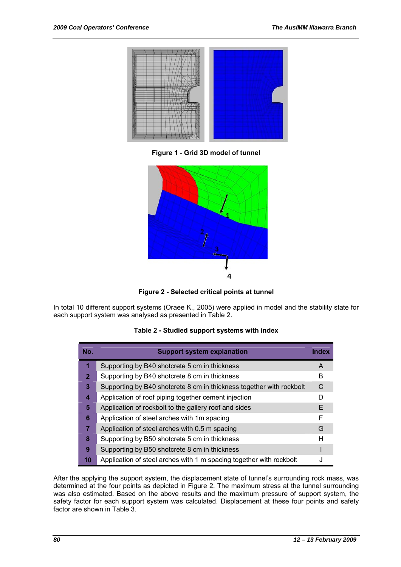

**Figure 1 - Grid 3D model of tunnel** 



**Figure 2 - Selected critical points at tunnel** 

In total 10 different support systems (Oraee K., 2005) were applied in model and the stability state for each support system was analysed as presented in Table 2.

#### **Table 2 - Studied support systems with index**

| No.                     | <b>Support system explanation</b>                                    | <b>Index</b> |
|-------------------------|----------------------------------------------------------------------|--------------|
| 1                       | Supporting by B40 shotcrete 5 cm in thickness                        | A            |
| $\mathbf{2}$            | Supporting by B40 shotcrete 8 cm in thickness                        | B            |
| $\mathbf{3}$            | Supporting by B40 shotcrete 8 cm in thickness together with rockbolt | C            |
| $\overline{\mathbf{4}}$ | Application of roof piping together cement injection                 | D            |
| 5                       | Application of rockbolt to the gallery roof and sides                | E.           |
| 6                       | Application of steel arches with 1m spacing                          | F            |
| $\overline{7}$          | Application of steel arches with 0.5 m spacing                       | G            |
| 8                       | Supporting by B50 shotcrete 5 cm in thickness                        | н            |
| 9                       | Supporting by B50 shotcrete 8 cm in thickness                        |              |
| 10                      | Application of steel arches with 1 m spacing together with rockbolt  |              |

After the applying the support system, the displacement state of tunnel's surrounding rock mass, was determined at the four points as depicted in Figure 2. The maximum stress at the tunnel surrounding was also estimated. Based on the above results and the maximum pressure of support system, the safety factor for each support system was calculated. Displacement at these four points and safety factor are shown in Table 3.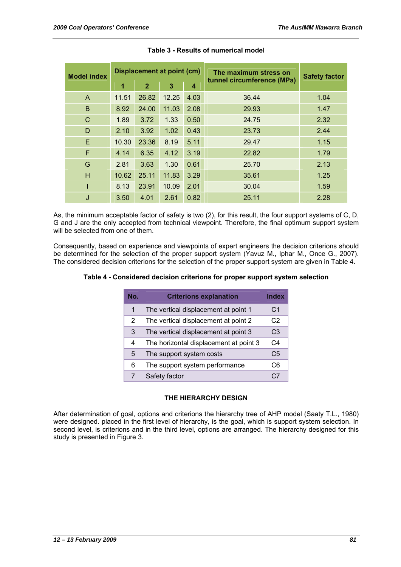| <b>Model index</b> | Displacement at point (cm) |              |       | The maximum stress on |                            | <b>Safety factor</b> |
|--------------------|----------------------------|--------------|-------|-----------------------|----------------------------|----------------------|
|                    | 1                          | $\mathbf{2}$ | 3     | $\boldsymbol{4}$      | tunnel circumference (MPa) |                      |
| A                  | 11.51                      | 26.82        | 12.25 | 4.03                  | 36.44                      | 1.04                 |
| B                  | 8.92                       | 24.00        | 11.03 | 2.08                  | 29.93                      | 1.47                 |
| C                  | 1.89                       | 3.72         | 1.33  | 0.50                  | 24.75                      | 2.32                 |
| D                  | 2.10                       | 3.92         | 1.02  | 0.43                  | 23.73                      | 2.44                 |
| E                  | 10.30                      | 23.36        | 8.19  | 5.11                  | 29.47                      | 1.15                 |
| F                  | 4.14                       | 6.35         | 4.12  | 3.19                  | 22.82                      | 1.79                 |
| G                  | 2.81                       | 3.63         | 1.30  | 0.61                  | 25.70                      | 2.13                 |
| H                  | 10.62                      | 25.11        | 11.83 | 3.29                  | 35.61                      | 1.25                 |
| I                  | 8.13                       | 23.91        | 10.09 | 2.01                  | 30.04                      | 1.59                 |
| J                  | 3.50                       | 4.01         | 2.61  | 0.82                  | 25.11                      | 2.28                 |

#### **Table 3 - Results of numerical model**

As, the minimum acceptable factor of safety is two (2), for this result, the four support systems of C, D, G and J are the only accepted from technical viewpoint. Therefore, the final optimum support system will be selected from one of them.

Consequently, based on experience and viewpoints of expert engineers the decision criterions should be determined for the selection of the proper support system (Yavuz M., Iphar M., Once G., 2007). The considered decision criterions for the selection of the proper support system are given in Table 4.

#### **Table 4 - Considered decision criterions for proper support system selection**

| No. | <b>Criterions explanation</b>          | <b>Index</b>   |
|-----|----------------------------------------|----------------|
| 1   | The vertical displacement at point 1   | C <sub>1</sub> |
| 2   | The vertical displacement at point 2   | C <sub>2</sub> |
| 3   | The vertical displacement at point 3   | C3             |
| 4   | The horizontal displacement at point 3 | C <sub>4</sub> |
| 5   | The support system costs               | C <sub>5</sub> |
| 6   | The support system performance         | C6             |
|     | Safety factor                          |                |

#### **THE HIERARCHY DESIGN**

After determination of goal, options and criterions the hierarchy tree of AHP model (Saaty T.L., 1980) were designed. placed in the first level of hierarchy, is the goal, which is support system selection. In second level, is criterions and in the third level, options are arranged. The hierarchy designed for this study is presented in Figure 3.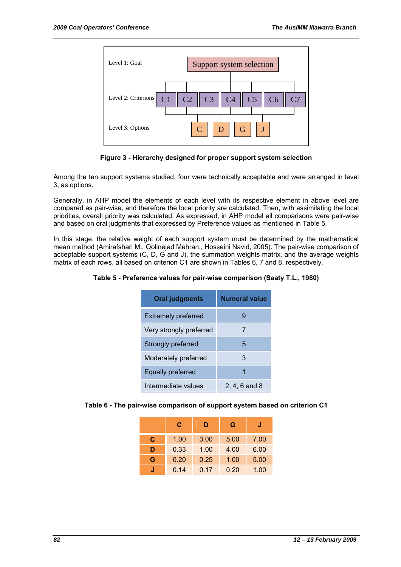

**Figure 3 - Hierarchy designed for proper support system selection** 

Among the ten support systems studied, four were technically acceptable and were arranged in level 3, as options.

Generally, in AHP model the elements of each level with its respective element in above level are compared as pair-wise, and therefore the local priority are calculated. Then, with assimilating the local priorities, overall priority was calculated. As expressed, in AHP model all comparisons were pair-wise and based on oral judgments that expressed by Preference values as mentioned in Table 5.

In this stage, the relative weight of each support system must be determined by the mathematical mean method (Amirafshari M., Qolinejad Mehran., Hosseini Navid, 2005). The pair-wise comparison of acceptable support systems (C, D, G and J), the summation weights matrix, and the average weights matrix of each rows, all based on criterion C1 are shown in Tables 6, 7 and 8, respectively.

**Table 5 - Preference values for pair-wise comparison (Saaty T.L., 1980)** 

| <b>Oral judgments</b>      | <b>Numeral value</b> |
|----------------------------|----------------------|
| <b>Extremely preferred</b> |                      |
| Very strongly preferred    | 7                    |
| Strongly preferred         | 5                    |
| Moderately preferred       | 3                    |
| Equally preferred          |                      |
| Intermediate values        | 2, 4, 6 and 8        |

|  | Table 6 - The pair-wise comparison of support system based on criterion C1 |  |  |
|--|----------------------------------------------------------------------------|--|--|
|  |                                                                            |  |  |

|   | С    | D    | G    | J    |
|---|------|------|------|------|
| C | 1.00 | 3.00 | 5.00 | 7.00 |
| D | 0.33 | 1.00 | 4.00 | 6.00 |
| G | 0.20 | 0.25 | 1.00 | 5.00 |
|   | 0.14 | 0.17 | 0.20 | 1.00 |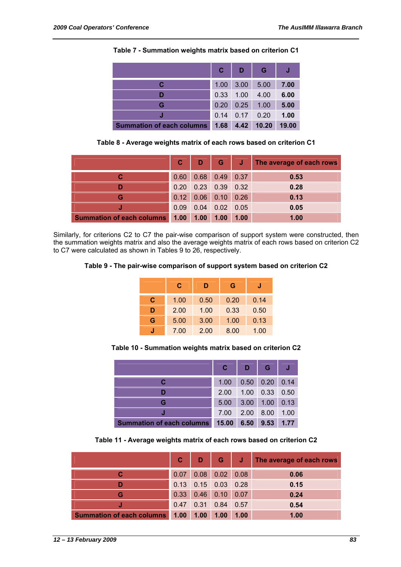|                                  | $\mathbf{C}$ | D    | G     |       |
|----------------------------------|--------------|------|-------|-------|
| С                                | 1.00         | 3.00 | 5.00  | 7.00  |
|                                  | 0.33         | 1.00 | 4.00  | 6.00  |
| G                                | 0.20         | 0.25 | 1.00  | 5.00  |
|                                  | 0.14         | 0.17 | 0.20  | 1.00  |
| <b>Summation of each columns</b> | 1.68         | 4.42 | 10.20 | 19.00 |

**Table 7 - Summation weights matrix based on criterion C1** 

**Table 8 - Average weights matrix of each rows based on criterion C1** 

|                                  | C    |                       |                  |      | D G J The average of each rows |
|----------------------------------|------|-----------------------|------------------|------|--------------------------------|
|                                  | 0.60 |                       | $0.68$ 0.49 0.37 |      | 0.53                           |
|                                  |      | $0.20$ 0.23 0.39 0.32 |                  |      | 0.28                           |
| G                                |      | $0.12$ 0.06 0.10 0.26 |                  |      | 0.13                           |
|                                  | 0.09 | 0.04                  | $0.02$ 0.05      |      | 0.05                           |
| <b>Summation of each columns</b> | 1.00 | 1.00                  | 1.00             | 1.00 | 1.00                           |

Similarly, for criterions C2 to C7 the pair-wise comparison of support system were constructed, then the summation weights matrix and also the average weights matrix of each rows based on criterion C2 to C7 were calculated as shown in Tables 9 to 26, respectively.

**Table 9 - The pair-wise comparison of support system based on criterion C2** 

|   | C    | D    | G    | J    |
|---|------|------|------|------|
| С | 1.00 | 0.50 | 0.20 | 0.14 |
| D | 2.00 | 1.00 | 0.33 | 0.50 |
| G | 5.00 | 3.00 | 1.00 | 0.13 |
|   | 7.00 | 2.00 | 8.00 | 1.00 |

**Table 10 - Summation weights matrix based on criterion C2** 

|                                  | C.    | D    | G    |      |
|----------------------------------|-------|------|------|------|
|                                  | 1.00  | 0.50 | 0.20 | 0.14 |
|                                  | 2.00  | 1.00 | 0.33 | 0.50 |
| G                                | 5.00  | 3.00 | 1.00 | 0.13 |
|                                  | 7.00  | 2.00 | 8.00 | 1.00 |
| <b>Summation of each columns</b> | 15.00 | 6.50 | 9.53 | 1.77 |

**Table 11 - Average weights matrix of each rows based on criterion C2** 

|                                  | C    | D                     | G                |      | J The average of each rows |
|----------------------------------|------|-----------------------|------------------|------|----------------------------|
|                                  | 0.07 |                       | $0.08$ 0.02 0.08 |      | 0.06                       |
|                                  |      | $0.13$ 0.15 0.03 0.28 |                  |      | 0.15                       |
| G                                | 0.33 |                       | $0.46$ 0.10 0.07 |      | 0.24                       |
|                                  | 0.47 | $0.31$ 0.84           |                  | 0.57 | 0.54                       |
| <b>Summation of each columns</b> | 1.00 | 1.00                  | 1.00             | 1.00 | 1.00                       |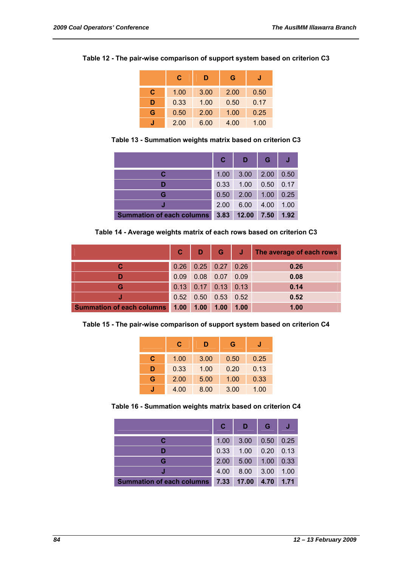|   | C    | D    | G    |      |
|---|------|------|------|------|
| C | 1.00 | 3.00 | 2.00 | 0.50 |
| D | 0.33 | 1.00 | 0.50 | 0.17 |
| G | 0.50 | 2.00 | 1.00 | 0.25 |
|   | 2.00 | 6.00 | 4.00 | 1.00 |

**Table 12 - The pair-wise comparison of support system based on criterion C3** 

**Table 13 - Summation weights matrix based on criterion C3** 

|                                  | С    | D     | G    |      |
|----------------------------------|------|-------|------|------|
|                                  | 1.00 | 3.00  | 2.00 | 0.50 |
|                                  | 0.33 | 1.00  | 0.50 | 0.17 |
| G                                | 0.50 | 2.00  | 1.00 | 0.25 |
|                                  | 2.00 | 6.00  | 4.00 | 1.00 |
| <b>Summation of each columns</b> | 3.83 | 12.00 | 7.50 | 1.92 |

**Table 14 - Average weights matrix of each rows based on criterion C3** 

|                                  |      |      |                       |      | C D G J The average of each rows |
|----------------------------------|------|------|-----------------------|------|----------------------------------|
|                                  | 0.26 |      | $0.25$ 0.27 0.26      |      | 0.26                             |
|                                  | 0.09 |      | $0.08$ 0.07           | 0.09 | 0.08                             |
| G                                |      |      | $0.13$ 0.17 0.13 0.13 |      | 0.14                             |
|                                  | 0.52 |      | $0.50$ $0.53$ $0.52$  |      | 0.52                             |
| <b>Summation of each columns</b> | 1.00 | 1.00 | 1.00                  | 1.00 | 1.00                             |

**Table 15 - The pair-wise comparison of support system based on criterion C4** 

|   | С    | D    | G    |      |
|---|------|------|------|------|
| C | 1.00 | 3.00 | 0.50 | 0.25 |
| D | 0.33 | 1.00 | 0.20 | 0.13 |
| G | 2.00 | 5.00 | 1.00 | 0.33 |
|   | 4.00 | 8.00 | 3.00 | 1.00 |

**Table 16 - Summation weights matrix based on criterion C4** 

|                                  | C    | D     | G    |      |
|----------------------------------|------|-------|------|------|
|                                  | 1.00 | 3.00  | 0.50 | 0.25 |
|                                  | 0.33 | 1.00  | 0.20 | 0.13 |
| G                                | 2.00 | 5.00  | 1.00 | 0.33 |
|                                  | 4.00 | 8.00  | 3.00 | 1.00 |
| <b>Summation of each columns</b> | 7.33 | 17.00 | 4.70 | 1.71 |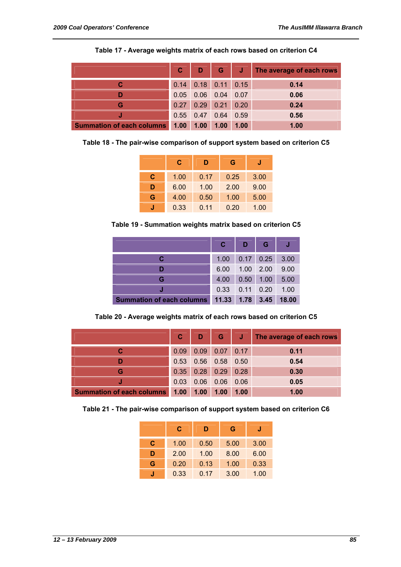|                                  | $\mathbf{C}$ |                       |                  |      | D G J The average of each rows |
|----------------------------------|--------------|-----------------------|------------------|------|--------------------------------|
|                                  |              | $0.14$ 0.18 0.11 0.15 |                  |      | 0.14                           |
|                                  | 0.05         |                       | $0.06$ 0.04 0.07 |      | 0.06                           |
| G                                | 0.27         |                       | $0.29$ 0.21 0.20 |      | 0.24                           |
|                                  |              | $0.55$ 0.47 0.64      |                  | 0.59 | 0.56                           |
| <b>Summation of each columns</b> | 1.00         | 1.00                  | 1.00             | 1.00 | 1.00                           |

**Table 17 - Average weights matrix of each rows based on criterion C4** 

**Table 18 - The pair-wise comparison of support system based on criterion C5** 

|   | С    | D    | G    |      |
|---|------|------|------|------|
| C | 1.00 | 0.17 | 0.25 | 3.00 |
| D | 6.00 | 1.00 | 2.00 | 9.00 |
| G | 4.00 | 0.50 | 1.00 | 5.00 |
|   | 0.33 | 0.11 | 0.20 | 1.00 |

**Table 19 - Summation weights matrix based on criterion C5** 

|                                  |       | D                 | G.      |       |
|----------------------------------|-------|-------------------|---------|-------|
|                                  | 1.00  | $0.17$ 0.25       |         | 3.00  |
|                                  | 6.00  | 1.00              | $-2.00$ | 9.00  |
| G                                | 4.00  | 0.50              | 1.00    | 5.00  |
|                                  | 0.33  | $0.11 \quad 0.20$ |         | 1.00  |
| <b>Summation of each columns</b> | 11.33 | 1.78              | 3.45    | 18.00 |

**Table 20 - Average weights matrix of each rows based on criterion C5** 

|                                  | C    | D           | G           | <b>AV</b> | The average of each rows |
|----------------------------------|------|-------------|-------------|-----------|--------------------------|
|                                  | 0.09 | 0.09        | 0.07        | 0.17      | 0.11                     |
|                                  | 0.53 |             | $0.56$ 0.58 | 0.50      | 0.54                     |
| G                                | 0.35 | $0.28$ 0.29 |             | 0.28      | 0.30                     |
|                                  | 0.03 | 0.06        | 0.06        | 0.06      | 0.05                     |
| <b>Summation of each columns</b> | 1.00 | 1.00        | 1.00        | 1.00      | 1.00                     |

**Table 21 - The pair-wise comparison of support system based on criterion C6** 

|   | С    | D    | G    | J    |
|---|------|------|------|------|
| C | 1.00 | 0.50 | 5.00 | 3.00 |
| D | 2.00 | 1.00 | 8.00 | 6.00 |
| G | 0.20 | 0.13 | 1.00 | 0.33 |
|   | 0.33 | 0.17 | 3.00 | 1.00 |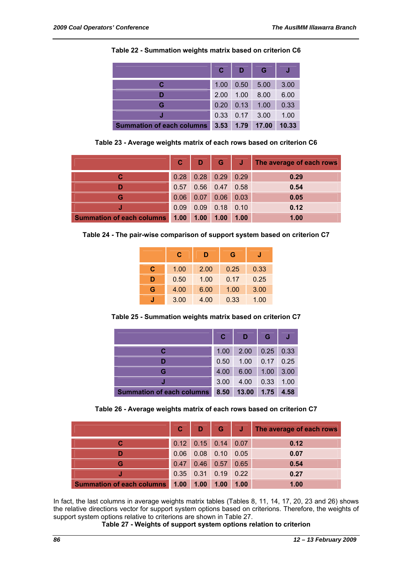|                                  | С    | D    | G     |       |
|----------------------------------|------|------|-------|-------|
| С                                | 1.00 | 0.50 | 5.00  | 3.00  |
|                                  | 2.00 | 1.00 | 8.00  | 6.00  |
| G                                | 0.20 | 0.13 | 1.00  | 0.33  |
|                                  | 0.33 | 0.17 | 3.00  | 1.00  |
| <b>Summation of each columns</b> | 3.53 | 1.79 | 17.00 | 10.33 |

**Table 22 - Summation weights matrix based on criterion C6** 

**Table 23 - Average weights matrix of each rows based on criterion C6** 

|                                  | $\mathbf{C}$ |      |                  |      | D G J The average of each rows |
|----------------------------------|--------------|------|------------------|------|--------------------------------|
|                                  | 0.28         |      | $0.28$ 0.29 0.29 |      | 0.29                           |
|                                  | 0.57         |      | $0.56$ 0.47      | 0.58 | 0.54                           |
| G                                | 0.06         | 0.07 | 0.06             | 0.03 | 0.05                           |
|                                  | 0.09         |      | $0.09$ 0.18 0.10 |      | 0.12                           |
| <b>Summation of each columns</b> | 1.00         | 1.00 | 1.00             | 1.00 | 1.00                           |

**Table 24 - The pair-wise comparison of support system based on criterion C7** 

|   | C    | D    | G    |      |
|---|------|------|------|------|
| C | 1.00 | 2.00 | 0.25 | 0.33 |
| D | 0.50 | 1.00 | 0.17 | 0.25 |
| G | 4.00 | 6.00 | 1.00 | 3.00 |
|   | 3.00 | 4.00 | 0.33 | 1.00 |

**Table 25 - Summation weights matrix based on criterion C7** 

|                                  | С    | D     | G    |      |
|----------------------------------|------|-------|------|------|
| С                                | 1.00 | 2.00  | 0.25 | 0.33 |
| D                                | 0.50 | 1.00  | 0.17 | 0.25 |
| G                                | 4.00 | 6.00  | 1.00 | 3.00 |
|                                  | 3.00 | 4.00  | 0.33 | 1.00 |
| <b>Summation of each columns</b> | 8.50 | 13.00 | 1.75 | 4.58 |

**Table 26 - Average weights matrix of each rows based on criterion C7** 

|                                  | $\mathbf{C}$ |                       |             |      | D G J The average of each rows |
|----------------------------------|--------------|-----------------------|-------------|------|--------------------------------|
|                                  |              | $0.12$ 0.15 0.14 0.07 |             |      | 0.12                           |
|                                  | 0.06         |                       | $0.08$ 0.10 | 0.05 | 0.07                           |
| G                                |              | $0.47$ 0.46 0.57      |             | 0.65 | 0.54                           |
|                                  |              | $0.35$ 0.31 0.19 0.22 |             |      | 0.27                           |
| <b>Summation of each columns</b> | 1.00         | 1.00                  | 1.00        | 1.00 | 1.00                           |

In fact, the last columns in average weights matrix tables (Tables 8, 11, 14, 17, 20, 23 and 26) shows the relative directions vector for support system options based on criterions. Therefore, the weights of support system options relative to criterions are shown in Table 27.

**Table 27 - Weights of support system options relation to criterion**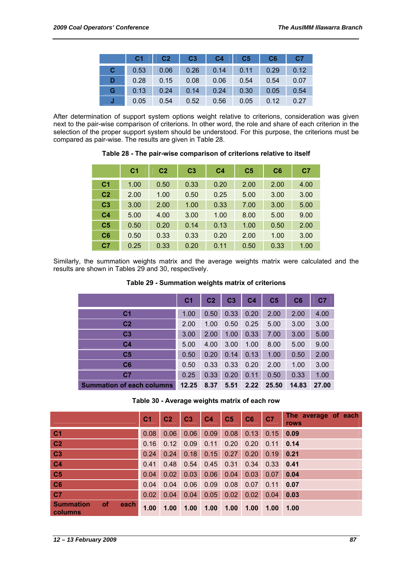|   | C1   |      | $\overline{C3}$ | $-4$ $C4$ | C5   | CC6  | <b>C7</b> |
|---|------|------|-----------------|-----------|------|------|-----------|
| С | 0.53 | 0.06 | 0.26            | 0.14      | 0.11 | 0.29 | 0.12      |
| D | 0.28 | 0.15 | 0.08            | 0.06      | 0.54 | 0.54 | 0.07      |
| G | 0.13 | 0.24 | 0.14            | 0.24      | 0.30 | 0.05 | 0.54      |
|   | 0.05 | 0.54 | 0.52            | 0.56      | 0.05 | 0.12 | 0.27      |

After determination of support system options weight relative to criterions, consideration was given next to the pair-wise comparison of criterions. In other word, the role and share of each criterion in the selection of the proper support system should be understood. For this purpose, the criterions must be compared as pair-wise. The results are given in Table 28.

**Table 28 - The pair-wise comparison of criterions relative to itself** 

|                | C <sub>1</sub> | C <sub>2</sub> | C <sub>3</sub> | C <sub>4</sub> | C <sub>5</sub> | C6   | C <sub>7</sub> |
|----------------|----------------|----------------|----------------|----------------|----------------|------|----------------|
| C <sub>1</sub> | 1.00           | 0.50           | 0.33           | 0.20           | 2.00           | 2.00 | 4.00           |
| C <sub>2</sub> | 2.00           | 1.00           | 0.50           | 0.25           | 5.00           | 3.00 | 3.00           |
| C <sub>3</sub> | 3.00           | 2.00           | 1.00           | 0.33           | 7.00           | 3.00 | 5.00           |
| C <sub>4</sub> | 5.00           | 4.00           | 3.00           | 1.00           | 8.00           | 5.00 | 9.00           |
| C <sub>5</sub> | 0.50           | 0.20           | 0.14           | 0.13           | 1.00           | 0.50 | 2.00           |
| C6             | 0.50           | 0.33           | 0.33           | 0.20           | 2.00           | 1.00 | 3.00           |
| C <sub>7</sub> | 0.25           | 0.33           | 0.20           | 0.11           | 0.50           | 0.33 | 1.00           |

Similarly, the summation weights matrix and the average weights matrix were calculated and the results are shown in Tables 29 and 30, respectively.

#### **Table 29 - Summation weights matrix of criterions**

|                                  | C <sub>1</sub> | C <sub>2</sub> | C <sub>3</sub> | C4   | C <sub>5</sub> | C6    | C <sub>7</sub> |
|----------------------------------|----------------|----------------|----------------|------|----------------|-------|----------------|
| C <sub>1</sub>                   | 1.00           | 0.50           | 0.33           | 0.20 | 2.00           | 2.00  | 4.00           |
| C <sub>2</sub>                   | 2.00           | 1.00           | 0.50           | 0.25 | 5.00           | 3.00  | 3.00           |
| C <sub>3</sub>                   | 3.00           | 2.00           | 1.00           | 0.33 | 7.00           | 3.00  | 5.00           |
| C <sub>4</sub>                   | 5.00           | 4.00           | 3.00           | 1.00 | 8.00           | 5.00  | 9.00           |
| C <sub>5</sub>                   | 0.50           | 0.20           | 0.14           | 0.13 | 1.00           | 0.50  | 2.00           |
| C6                               | 0.50           | 0.33           | 0.33           | 0.20 | 2.00           | 1.00  | 3.00           |
| C <sub>7</sub>                   | 0.25           | 0.33           | 0.20           | 0.11 | 0.50           | 0.33  | 1.00           |
| <b>Summation of each columns</b> | 12.25          | 8.37           | 5.51           | 2.22 | 25.50          | 14.83 | 27.00          |

**Table 30 - Average weights matrix of each row** 

|                                                  | C <sub>1</sub>    | C <sub>2</sub> | C <sub>3</sub> | C <sub>4</sub> | C <sub>5</sub> | C6   | C <sub>7</sub> | The average of each<br>rows |
|--------------------------------------------------|-------------------|----------------|----------------|----------------|----------------|------|----------------|-----------------------------|
| <sub>C1</sub>                                    | 0.08              | 0.06           | 0.06           | 0.09           | 0.08           | 0.13 | 0.15           | 0.09                        |
| C <sub>2</sub>                                   | 0.16              | 0.12           | 0.09           | 0.11           | 0.20           | 0.20 | 0.11           | 0.14                        |
| C <sub>3</sub>                                   | 0.24              | 0.24           | 0.18           | 0.15           | 0.27           | 0.20 | 0.19           | 0.21                        |
| C <sub>4</sub>                                   | 0.41              | 0.48           | 0.54           | 0.45           | 0.31           | 0.34 | 0.33           | 0.41                        |
| C <sub>5</sub>                                   | 0.04              | 0.02           | 0.03           | 0.06           | 0.04           | 0.03 | 0.07           | 0.04                        |
| C6                                               | 0.04              | 0.04           | 0.06           | 0.09           | 0.08           | 0.07 | 0.11           | 0.07                        |
| C <sub>7</sub>                                   | 0.02              | 0.04           | 0.04           | 0.05           | 0.02           | 0.02 | 0.04           | 0.03                        |
| <b>Summation</b><br><b>of</b><br>each<br>columns | 1.00 <sub>1</sub> | 1.00           | 1.00           | 1.00           | 1.00           | 1.00 | 1.00           | 1.00                        |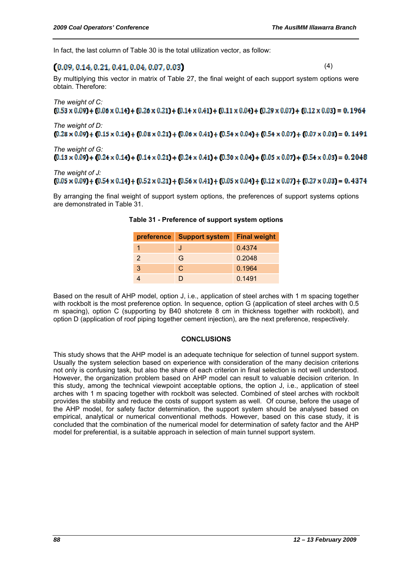In fact, the last column of Table 30 is the total utilization vector, as follow:

# $(0.09, 0.14, 0.21, 0.41, 0.04, 0.07, 0.03)$

(4)

By multiplying this vector in matrix of Table 27, the final weight of each support system options were obtain. Therefore:

# *The weight of C:*   $(0.53 \times 0.09) + (0.06 \times 0.14) + (0.26 \times 0.21) + (0.14 \times 0.41) + (0.11 \times 0.04) + (0.29 \times 0.07) + (0.12 \times 0.03) = 0.1964$

*The weight of D:*   $(0.28 \times 0.09) + (0.15 \times 0.14) + (0.08 \times 0.21) + (0.06 \times 0.41) + (0.54 \times 0.04) + (0.54 \times 0.07) + (0.07 \times 0.03) = 0.1491$ 

*The weight of G:*   $(0.13 \times 0.09) + (0.24 \times 0.14) + (0.14 \times 0.21) + (0.24 \times 0.41) + (0.30 \times 0.04) + (0.05 \times 0.07) + (0.54 \times 0.03) = 0.2048$ 

## *The weight of J:*   $(0.05 \times 0.09) + (0.54 \times 0.14) + (0.52 \times 0.21) + (0.56 \times 0.41) + (0.05 \times 0.04) + (0.12 \times 0.07) + (0.27 \times 0.03) = 0.4374$

By arranging the final weight of support system options, the preferences of support systems options are demonstrated in Table 31.

|               | preference   Support system   Final weight |        |
|---------------|--------------------------------------------|--------|
|               | J                                          | 0.4374 |
| $\mathcal{P}$ | G                                          | 0.2048 |
| 3             | C.                                         | 0.1964 |
|               |                                            | 0.1491 |

| Table 31 - Preference of support system options |  |  |
|-------------------------------------------------|--|--|
|-------------------------------------------------|--|--|

Based on the result of AHP model, option J, i.e., application of steel arches with 1 m spacing together with rockbolt is the most preference option. In sequence, option G (application of steel arches with 0.5 m spacing), option C (supporting by B40 shotcrete 8 cm in thickness together with rockbolt), and option D (application of roof piping together cement injection), are the next preference, respectively.

#### **CONCLUSIONS**

This study shows that the AHP model is an adequate technique for selection of tunnel support system. Usually the system selection based on experience with consideration of the many decision criterions not only is confusing task, but also the share of each criterion in final selection is not well understood. However, the organization problem based on AHP model can result to valuable decision criterion. In this study, among the technical viewpoint acceptable options, the option J, i.e., application of steel arches with 1 m spacing together with rockbolt was selected. Combined of steel arches with rockbolt provides the stability and reduce the costs of support system as well. Of course, before the usage of the AHP model, for safety factor determination, the support system should be analysed based on empirical, analytical or numerical conventional methods. However, based on this case study, it is concluded that the combination of the numerical model for determination of safety factor and the AHP model for preferential, is a suitable approach in selection of main tunnel support system.